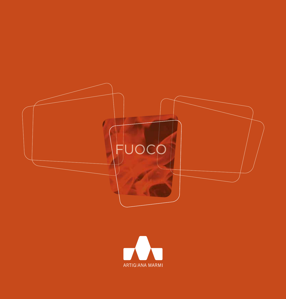

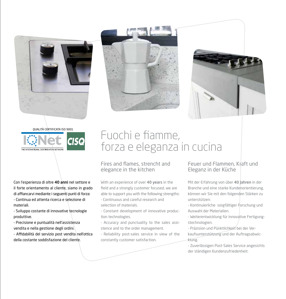





QUALITÀ CERTIFICATA ISO 9001



Con l'esperienza di oltre 40 anni nel settore e il forte orientamento al cliente, siamo in grado di affiancarvi mediante i seguenti punti di forza: - Continua ed attenta ricerca e selezione di materiali.

- Sviluppo costante di innovative tecnologie produttive.

- Precisione e puntualità nell'assistenza vendita e nella gestione degli ordini.

- Affidabilità del servizio post vendita nell'ottica della costante soddisfazione del cliente.

## Fuochi e fiamme, forza e eleganza in cucina

#### Fires and flames, strencht and elegance in the kitchen

With an experience of over 40 years in the field and a strongly customer focused, we are able to support you with the following strengths: - Continuous and careful research and selection of materials.

- Constant development of innovative production technologies.
- Accuracy and punctuality to the sales assistence and to the order management.
- Reliability post-sales service in view of the constantly customer satisfaction.

#### Feuer und Flammen, Kraft und Eleganz in der Küche

Mit der Erfahrung von über 40 Jahren in der Branche und eine starke Kundenorientierung, können wir Sie mit den folgenden Stärken zu unterstützen:

- Kontinuierliche sorgfältiger Forschung und Auswahl der Materialien.

- Weiterentwicklung für innovative Fertigungstechnologien.

- Präzision und Pünktlichkeit bei der Verkaufsunterstützung und der Auftragsabwicklung.

- Zuverlässigen Post-Sales Service angesichts der ständigen Kundenzufriedenheit.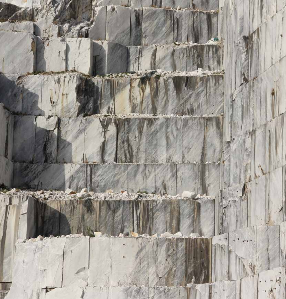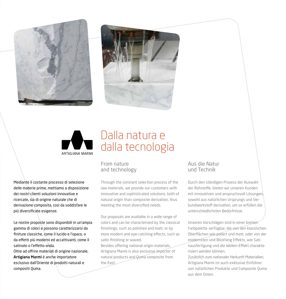





#### Mediante il costante processo di selezione delle materie prime, mettiamo a disposizione dei nostri clienti soluzioni innovative e ricercate, sia di origine naturale che di derivazione composita, così da soddisfare le più diversificate esigenze.

Le nostre proposte sono disponibili in un'ampia gamma di colori e possono caratterizzarsi da finiture classiche, come il lucido e l'opaco, o da effetti più moderni ed accattivanti, come il satinato o l'effetto onda.

Oltre ad offrire materiali di origine nazionale, Artigiana Marmi è anche importatore esclusivo dall'Oriente di prodotti naturali e compositi Quma.

## Dalla natura e dalla tecnologia

#### From nature and technology

Through the constant selection process of the raw materials, we provide our customers with innovative and sophisticated solutions, both of natural origin than composite derivation, thus meeting the most diversified needs.

Our proposals are available in a wide range of colors and can be characterized by the classical finishings, such as polished and matt, or by more modern and eye-catching effects, such as satin finishing or waved.

Besides offering national origin materials, Artigiana Marmi is also exclusive importer of natural products and Quma composite from the East.

#### Aus die Natur und Technik

Durch den ständigen Prozess der Auswahl der Rohstoffe, bieten wir unseren Kunden mit innovativen und anspruchsvoll Lösungen, sowohl aus natürlichen Ursprungs und Verbundwerkstoff derivation, um so erfüllen die unterschiedlichsten Bedürfnisse.

Unseren Vorschlägen sind in einer breiten Farbpalette verfügbar, die von den klassischen Oberflächen wie poliert und matt, oder von der modernsten und Blickfang Effekts, wie Satinausfertigung und die Wellen-Effekt charakterisiert werden können.

Zusätzlich zum nationaler Herkunft Materialien, Artigiana Marmi ist auch exklusive Einführer von natürlichen Produkte und Composite Quma aus dem Osten.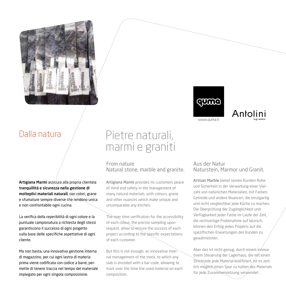

Artigiana Marmi assicura alla propria clientela tranquillità e sicurezza nella gestione di molteplici materiali naturali, con colori, grane e sfumature sempre diverse che rendono unica e non confrontabile ogni cucina.

La verifica della reperibilità di ogni colore e la puntuale campionatura a richiesta degli stessi garantiscono il successo di ogni progetto sulla base delle specifiche aspettative di ogni cliente.

Ma non basta, una innovativa gestione interna di magazzino, per cui ogni lastra di materia prima viene codificata con codice a barre, permette di tenere traccia nel tempo del materiale impiegato per ogni singola composizione.

## Dalla natura / Pietre naturali, marmi e graniti

From nature Natural stone, marble and granite.

Artigiana Marmi provides its customers peace of mind and safety in the management of many natural materials, with colours, grane and other nuances which make unique and uncomparable any kitchen.

The over time verification for the accessibility of each colour, the precise sampling upon request, allow to ensure the success of each project according to the specific expectations of each customer.

But this is not enough, an innovative internal management of the stock, to which any slab is encoded with a bar-code, allowing to track over the time the used material on each composition.

#### Aus der Natur Naturstein, Marmor und Granit.

Artisan Marble bietet seinen Kunden Ruhe und Sicherheit in der Verwaltung einer Vielzahl von natürlichen Materialien, mit Farben, Getreide und andere Nuancen, die einzigartig und nicht vergleichbar jede Küche zu machen. Die Überprüfung der Zugänglichkeit und Verfügbarkeit jeder Farbe im Laufe der Zeit, die rechtzeitige Probenahme auf Wunsch, können den Erfolg jedes Projekts auf die spezifischen Erwartungen des Kunden zu gewährleisten.

Aber das ist nicht genug, durch einem innovativem Steuerung der Lagerhaus, die mit einen Strichcode jede Material kodifiziert, ist es zeitlich möglich einen Spur zu halten des Materials für jede Zusammensetzung verwendet .

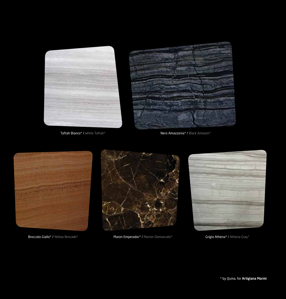

Taftah Bianco\* / White Taftah\*



Nero Amazzonia\* / Black Amazon\*



Broccato Giallo\* / Yellow Brocade\*



Maron Emperador\* / Marron Damascato\* Grigio Athena\* / Athena Gray\*

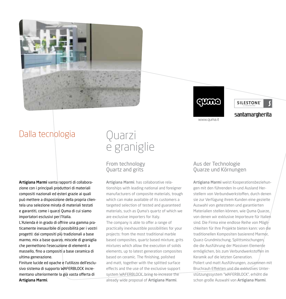



**SILESTONE** 

#### santamargherita

www.quma.it

### Dalla tecnologia

Artigiana Marmi vanta rapporti di collaborazione con i principali produttori di materiali compositi nazionali ed esteri grazie ai quali può mettere a disposizione della propria clientela una selezione mirata di materiali testati e garantiti, come i quarzi Quma di cui siamo importatori esclusivi per l'Italia.

L'Azienda è in grado di offrire una gamma praticamente inesauribile di possibilità per i vostri progetti: dai compositi più tradizionali a base marmo, mix a base quarzo, miscele di graniglia che permettono l'esecuzione di elementi a massello, fino a compositi a base ceramica di ultima generazione.

Finiture lucide ed opache e l'utilizzo dell'esclusivo sistema di supporto WAFERBLOCK incrementano ulteriormente la già vasta offerta di Artigiana Marmi.

## Quarzi e graniglie

#### From technology Quartz and grits

Artigiana Marmi. has collaborative relationships with leading national and foreigner manufacturers of composite materials, trough which can make available of its customers a targeted selection of tested and guaranteed materials, such as Quma's quartz of which we are exclusive importers for Italy. The company is able to offer a range of practically inexhaustible possibilities for your projects: from the most traditional marble based composites, quartz based mixture, grits mixtures which allow the execution of solids elements, up to latest generation composites based on ceramic. The finishing, polished and matt, together with the splitted surface effects and the use of the exclusive support system WAFERBLOCK, bring to increase the already wide proposal of Artigiana Marmi.

#### Aus der Technologie Quarze und Körnungen

Artigiana Marmi weist Kooperationsbeziehungen mit den führenden In-und Ausland Herstellern von Verbundwerkstoffen, durch denen sie zur Verfügung ihrem Kunden eine gezielte Auswahl von getesteten und garantierten Materialien stellen können, wie Quma Quarze, von denen wir exklusive Importeure für Italien sind. Die Firma eine endlose Reihe von Möglichkeiten für Ihre Projekte bieten kann: von die traditionellen Kompositen basierend Marmor, Quarz-Grundmischung, Splittsmischungen, die die Ausführung der Massiven Elemente ermöglichen, bis zum Verbundwerkstoffen im Keramik auf die letzten Generation. Poliert und matt Ausführungen, zusammen mit Bruchrauh Effekten und die exklusives Unterstützungssystem "WAFERBLOCK", erhöht die schon große Auswahl von Artigiana Marmi.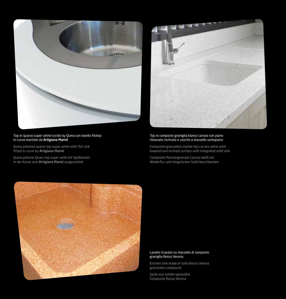



Top in quarzo super white lucido by Quma con lavello filotop in curva montato da Artigiana Marmi

Quma polished quartz top super white with flat sink fitted in curve by Artigiana Marmi

Quma polierte Quarz-top super weiß mit Spülbecken in der Kurve vom **Artigiana Marmi** ausgestattet

#### Top in composto graniglia bianco carrara con piano ribassato inclinato e vasche a massello sottopiano

Composite granulates marble top carrara white with lowered and inclined surface with integrated solid sink

Composite Marmorgranulat Carrara Weiß mit Niederflur und integriertem Solid Waschbecken



#### Lavello ricavato su massello di composto graniglia Rosso Verona

Kitchen sink made of solid Rosso Verona granulates compound

Spüle aus soliden granuläre Composite Rosso Verona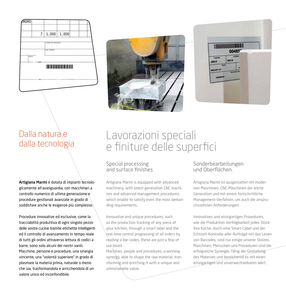





## Dalla natura e

Artigiana Marmi è dotata di impianti tecnologicamente all'avanguardia, con macchinari a controllo numerico di ultima generazione e procedure gestionali avanzate in grado di soddisfare anche le esigenze più complesse.

Procedure innovative ed esclusive, come la tracciabilità produttiva di ogni singolo pezzo delle vostre cucine tramite etichette intelligenti ed il controllo di avanzamento in tempo reale di tutti gli ordini attraverso lettura di codici a barre, sono solo alcuni dei nostri vanti. Macchine, persone e procedure, una sinergia vincente, una "volontà superiore" in grado di plasmare la materia prima, naturale o meno che sia, trasformandola e arricchendola di un valore unico ed inconfondibile.

## Dalla natura e Lavorazioni speciali<br>dalla tecnologia dalla sune e finiture delle superfici

#### Special processing and surface finishes

Artigiana Marmi is equipped with advanced machinery, with latest generation CNC machines and advanced management procedures, which enable to satisfy even the most demanding requirements.

Innovative and unique procedures, such as the production tracking of any piece of your kitchen, through a smart label and the real-time control progressing of all orders by reading a bar-codes, these are just a few of our boast.

Machines, people and procedures, a winning synergy, able to shape the raw material, transforming and enriching it with a unique and unmistakable value.

#### Sonderbearbeitungen und Oberflächen.

Artigiana Marmi ist ausgestattet mit modernen Maschinen, CNC-Maschinen der letzte Generation und mit einem fortschrittliche Management-Verfahren, um auch die anspruchsvollsten Anforderungen.

Innovatives und einzigartiges Prozeduren, wie die Produktion Verfolgbarkeit jedes Stück Ihre Küche, durch eine Smart-Label und der Echtzeit-Kontrolle aller Aufträge mit das Lesen von Barcodes, sind nur einige unserer Stolzes. Maschinen, Menschen und Prozeduren sind die erfolgreiche Synergie, fähig der Gestaltung des Materials und bereichernd es mit einen einzigartigen und unverwechselbaren Wert.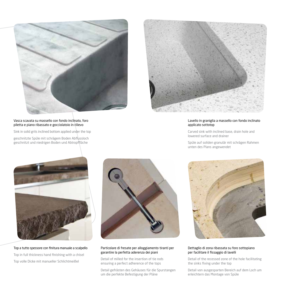

#### Vasca scavata su massello con fondo inclinato, foro piletta e piano ribassato e gocciolatoio in rilievo

Sink in solid grits inclined bottom applied under the top

geschnitzte Spüle mit schrägem Boden Abflussloch geschnitzt und niedrigen Boden und Abtropffläche



#### Lavello in graniglia a massello con fondo inclinato applicato sottotop

Carved sink with inclined base, drain hole and lowered surface and drainer

Spüle auf soliden granulär mit schrägen Rahmen unten des Plans angewendet



Top a tutto spessore con finitura manuale a scalpello Top in full thickness hand finishing with a chisel Top volle Dicke mit manueller Schlichtmeißel



#### Particolare di fresate per alloggiamento tiranti per garantire la perfetta aderenza dei piani

Detail of milled for the insertion of tie rods ensuring a perfect adherence of the tops

Detail gefrästen des Gehäuses für die Spurstangen um die perfekte Befestigung der Pläne



#### Dettaglio di zona ribassata su foro sottopiano per facilitare il fissaggio di lavelli

Detail of the recessed zone of the hole facilitating the sinks fixing under the top

Detail von ausgesparten Bereich auf dem Loch um erleichtern das Montage von Spüle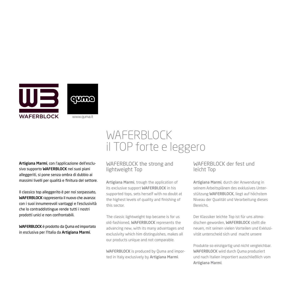

## WAFERBLOCK il TOP forte e leggero

Artigiana Marmi, con l'applicazione dell'esclusivo supporto WAFERBLOCK nei suoi piani alleggeriti, si pone senza ombra di dubbio ai massimi livelli per qualità e finitura del settore.

Il classico top alleggerito è per noi sorpassato, WAFERBLOCK rappresenta il nuovo che avanza: con i suoi innumerevoli vantaggi e l'esclusività che lo contraddistingue rende tutti i nostri prodotti unici e non confrontabili.

WAFERBLOCK è prodotto da Quma ed importato in esclusiva per l'Italia da Artigiana Marmi.

#### WAFERBLOCK the strong and lightweight Top

Artigiana Marmi, trough the application of its exclusive support WAFERBLOCK in his supported tops, sets herself with no doubt at the highest levels of quality and finishing of this sector.

The classic lightweight top became is for us old-fashioned, WAFERBLOCK represents the advancing new, with its many advantages and exclusivity which him distinguishes, makes all our products unique and not comparable.

WAFERBLOCK is produced by Quma and imported in Italy exclusively by Artigiana Marmi.

#### WAFERBLOCK der fest und leicht Top

Artigiana Marmi, durch der Anwendung in seinem Arbeitsplänen des exklusives Unterstützung WAFERBLOCK, liegt auf höchstem Niveau der Qualität und Verarbeitung dieses Bereichs.

Der Klassiker leichte Top ist für uns altmodischen geworden, WAFERBLOCK stellt die neuen, mit seinen vielen Vorteilen und Exklusivität unterscheid sich und macht unsere

Produkte so einzigartig und nicht vergleichbar. WAFERBLOCK wird durch Quma produziert und nach Italien importiert ausschließlich vom Artigiana Marmi.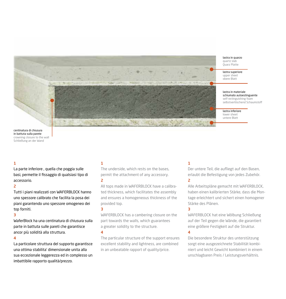lastra in quarzo quartz slab Quarz Platte

lastra superiore upper sheet obere Blatt

lastra in materiale schiumato autoestinguente self-extinguishing foam selbstverlöschend Schaumstoff

lastra inferiore lower sheet untere Blatt

centinatura di chiusura in battuta sulla parete crowning closure to the wall Schließung an der Wand

#### 1

La parte inferiore , quella che poggia sulle basi, permette il fissaggio di qualsiasi tipo di accessorio.

#### 2

Tutti i piani realizzati con WAFERBLOCK hanno uno spessore calibrato che facilita la posa dei piani garantendo uno spessore omogeneo dei top forniti.

#### 3

WaferBlock ha una centinatura di chiusura sulla parte in battuta sulle pareti che garantisce ancor più solidità alla struttura.

#### 4

La particolare struttura del supporto garantisce una ottima stabilita' dimensionale unita alla sua eccezionale leggerezza ed in complesso un imbattibile rapporto qualità/prezzo.

#### 1

The underside, which rests on the bases, permit the attachment of any accessory.

#### 2

All tops made in WAFERBLOCK have a calibrated thickness, which facilitates the assembly and ensures a homogeneous thickness of the provided top.

#### 3

WAFERBLOCK has a cambering closure on the part towards the walls, which guarantees a greater solidity to the structure.

#### 4

The particular structure of the support ensures excellent stability and lightness, are combined in an unbeatable rapport of quality/price.

#### 1

Der untere Teil, die aufliegt auf den Basen, erlaubt die Befestigung von jedes Zubehör.

#### 2

Alle Arbeitspläne gemacht mit WAFERBLOCK, haben einen kalibrierten Stärke, dass die Montage erleichtert und sichert einen homogener Stärke des Plänen.

#### 3

WAFERBLOCK hat eine Wölbung Schließung auf der Teil gegen die Wände, die garantiert eine größere Festigkeit auf die Struktur.

#### 4

Die besondere Struktur des unterstützung sorgt eine ausgezeichnete Stabilität kombiniert und leicht Gewicht kombiniert in einem unschlagbaren Preis / Leistungsverhältnis.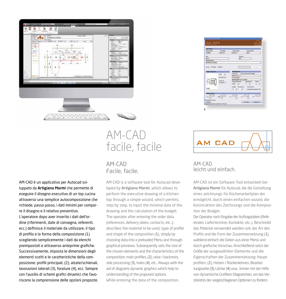

# $\frac{1}{2}$ 1

## AM-CAD facile, facile

#### AM-CAD Facile, facile.

AM-CAD è un applicativo per Autocad sviluppato da Artigiana Marmi che permette di eseguire il disegno esecutivo di un top cucina attraverso una semplice autocomposizione che richiede, passo passo, i dati minimi per comporre il disegno e il relativo preventivo. L'operatore dopo aver inserito i dati dell'ordine (riferimenti, date di consegna, referenti, ecc.) definisce il materiale da utilizzare, il tipo di profilo e la forma della composizione (1) scegliendo semplicemente i dati da elenchi preimpostati e attraverso anteprime grafiche. Successivamente, imposta le dimensioni degli elementi scelti e le caratteristiche della composizione: profili principali, (2), alzate/schienali, lavorazioni laterali (3), forature (4), ecc. Sempre con l'ausilio di schemi grafici dinamici che favoriscono la comprensione delle opzioni proposte.

#### AM-CAD is a software tool for Autocad developed by Artigiana Marmi, which allows to perform the executive drawing of a kitchen top through a simple wizard, which permits, step by step, to input the minimal data of the drawing and the calculation of the budget. The operator after entering the order data (references, delivery dates, contacts, etc..), describes the material to be used, type of profile and shape of the composition (1), simply by choosing data into a preloaded Menu and through graphical previews. Subsequently sets the size of the chosen elements and the characteristics of the composition: main profiles, (2), raise / backrests, side processing (3), holes (4), etc.. Always with the aid of diagrams dynamic graphics which help to understanding of the proposed options. While entering the data of the composition,



#### AM-CAD leicht und einfach.

AM-CAD ist ein Software-Tool entwickelt bei Artigiana Marmi für Autocad, die die Gestaltung eines zeichnungs für Küchenarbeitplan der ermöglicht, durch einen einfachen wizard, die Konstruktion des Zeichnungs und die Komposition der Budget.

Der Operator nach Eingabe der Auftragsdaten (Referenzen, Liefertermine, Kontakte, etc..), Beschreibt das Material verwendet werden soll, der Art des Profils und die Form der Zusammensetzung (1), wählend einfach die Daten aus einer Menü und durch grafische Vorschau. Anschließend setzt der Größe der ausgewählten Elemente und die Eigenschaften der Zusammensetzung: Hauptprofilen, (2), Heben / Rückenlehnen, Bearbeitungsseite (3), Löcher (4) usw.. Immer mit der Hilfe von dynamische Grafiken Diagrammen, um das Verständnis der vorgeschlagenen Optionen zu fördern.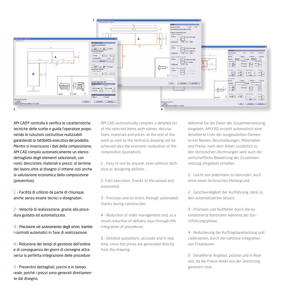

AM-CAD® controlla e verifica le caratteristiche tecniche delle scelte e guida l'operatore proponendo le soluzioni costruttive realizzabili garantendo la fattibilità esecutiva del prodotto. Mentre si inseriscono i dati della composizione, AM-CAD compila automaticamente un elenco dettagliato degli elementi selezionati, con nomi, descrizioni, materiali e prezzi: al termine del lavoro oltre al disegno si ottiene così anche la valutazione economica della composizione (preventivo).

1 - Facilità di utilizzo da parte di chiunque, anche senza essere tecnici o disegnatori.

2 - Velocità di realizzazione, grazie alla procedura guidata ed automatizzata.

3 - Precisione ed azzeramento degli errori, tramite i controlli automatici in fase di realizzazione.

4 - Riduzione dei tempi di gestione dell'ordine e di conseguenza dei giorni di consegna attraverso la perfetta integrazione delle procedure

5 - Preventivi dettagliati, precisi e in tempo reale, poichè i prezzi sono generati direttamente dal disegno.

AM-CAD automatically compiles a detailed list of the selected items with names, descriptions, materials and prices: at the end of the work as well as the technical drawing will be achieved also the economic evaluation of the composition (quotation).

1 - Easy to use by anyone, even without technical or designing abilities.

2 -Fast execution, thanks to the wizard and automated.

3 - Precision and no errors through automated checks during construction.

4 - Reduction of order management and, as a result reduction of delivery days through the integration of procedures

5 - Detailed quotations, accurate and in real time, since the prices are generated directly from the drawing.

Während Sie die Daten der Zusammensetzung eingeben, AM-CAD erstellt automatisch eine detaillierte Liste der ausgewählten Elemente mit Namen, Beschreibungen, Materialien und Preise: nach dem Arbeit zusätzlich zu den technischen Zeichnungen wird auch die wirtschaftliche Bewertung der Zusammensetzung (Angebot) erhalten.

1 - Leicht von jedermann zu benutzen, auch ohne einen technischen Hintergrund.

2 - Geschwindigkeit der Ausführung, dank zu den automatisierten Wizard .

3 - Präzision und Nullfehler durch die automatisierte Kontrollen während der Durchführungsphase.

4 - Reduzierung der Auftragsbearbeitung und Lieferzeiten, durch die nahtlose Integration von Prozeduren.

5 - Detaillierte Angebot, präzise und in Realzeit, da die Preise direkt aus der Zeichnung generiert sind.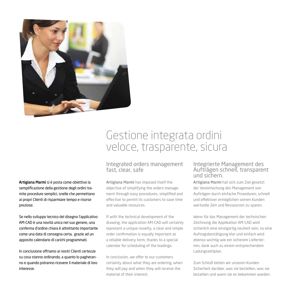

Artigiana Marmi si è posta come obiettivo la semplificazione della gestione degli ordini tramite procedure semplici, snelle che permettano ai propri Clienti di risparmiare tempo e risorse preziose.

Se nello sviluppo tecnico del disegno l'applicativo AM-CAD è una novità unica nel suo genere, una conferma d'ordine chiara è altrettanto importante come una data di consegna certa, grazie ad un apposito calendario di carichi programmati.

In conclusione offriamo ai nostri Clienti certezze su cosa stanno ordinando, a quanto lo pagheranno e quando potranno ricevere il materiale di loro interesse.

## Gestione integrata ordini veloce, trasparente, sicura

#### Integrated orders management fast, clear, safe

Artigiana Marmi has imposed itself the objective of simplifying the orders management through easy procedures, simplified and effective to permit its customers to save time and valuable resources.

If with the technical development of the drawing, the application AM-CAD will certainly represent a unique novelty, a clear and simple order confirmation is equally important as a reliable delivery term, thanks to a special calendar for scheduling of the loadings.

In conclusion, we offer to our customers certainty about what they are ordering, when they will pay and when they will receive the material of their interest.

#### Integrierte Management des Aufträgen schnell, transparent und sichern.

Artigiana Marmi hat sich zum Ziel gesetzt der Vereinfachung des Management von Aufträgen durch einfache Prozeduren, schnell und effektiver ermöglichen seinen Kunden wertvolle Zeit und Ressourcen zu sparen.

Wenn für das Management der technischen Zeichnung die Applikation AM-CAD wird sicherlich eine einzigartig neuheit sein, so eine Auftragsbestätigung klar und einfach wird ebenso wichtig wie ein sicherem Liefertermin, dank auch zu einem entsprechendem Ladungszeitplan.

Zum Schluß bieten wir unseren Kunden Sicherheit darüber, was sie bestellen, was sie bezahlen und wann sie es bekommen warden.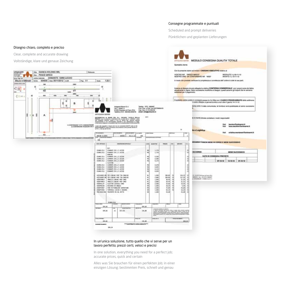#### Consegne programmate e puntuali

Scheduled and prompt deliveries

Pünktlichen und geplanten Lieferungen

#### Disegno chiaro, completo e preciso Clear, complete and accurate drawing MODULO CONSEGNA QUALITA' TOTALE Vollständige, klare und genaue Zeichung Con la presente stamo ad inviare il DISEGNO ESECUTIVO visativo al ON GIANCA HOLDING SRL **Automobile** ma p VOSTRO RE THESE MECO" NO THEIR **RAN PESCE MIRCO** RICEVUTO IL 03-11-12 п **DIAMANTE 12MM LUCICO** This BLTF CHARGE SHE PARK CONTRACTE 120M LUCE  $120.1$ In mode che prinsiste verificare la completeziza e commissza dell'ordine in tutte le sue parti Feg. 1/1 1 tons **SHE Jako** 调用 Insiame al disopto Interna allegata la relativa COMFERIAA COMMERCIALE con i prezzi come da listing<br>attualmente in vigore. Salvo paccessive modifiche al disegno, questi santono gli importi che le vertanno<br>aldebitati per il ٠ ×  $d2$ dT **Select SH**  $\leftarrow$  $\overline{m}$ **KB** M6 **WA** п E subleto police antità in comegne presed to Vs Otto con il CARICO PROGRAMMATO della velle<br>Il testito disegno o perventi antito e non otte il giorno 14-15-12 × × × a ŧ  $\mathbf{x}$ la antes la data comunicata, la fuentura versi postiziosta al nurico e **Tubil 2** Cert. Fisc. & Part. Iva 922 see<br>Resolance al Flano (PUS)<br>o (XT21), allectato diecolinis ARTICLENA MARINE  $\left| \epsilon \right|$ ¥ A as in marks covera contained I hours.  $\frac{1}{2}$  ,  $\frac{1}{2}$  $50 - 20 = 10$ Air furni championist<br>Filment Forshort DEF 1-year-date programs a fiscal sure do not considered \$3,000 galler to the highest attention ie e Ligistici sec. WEN G.OZ mini **BUILD**  $-98$ **BUSINESSING** *<u>ATTERNETWERT</u>* **MATCH Cash BA CANDIA MESE IN ODMAN E MESE SUCCESSION COLUMNS** Tum I  $\overline{a}$ **HELDS** Ten. **MARK** Tin RIF,<br>Elmhurt (M.L.F.1879)<br>Elmhurt (M.L.F.1879) means ă  $\frac{1.19}{1.78}$ 싑 IN CORSO **MESE SUCCESSIVO** 100003783 HEIM<br>Sanart (M.S.E.) (ECON  $0.5%$ DATE DI CONSEGNA PREVISTE diamichi *MERREXPAR ANNA ANN*  $rac{1}{2}$ *SUMMARE* EDIMINE CH.I.J.E LIECON<br>EUMHENE CH.I.J.E LIECON  $^{4,201}_{4,131}$ 090 1000 BOD **REMAX LINES ALCOHOL** 4134704<br>0249475, 29, 1.2 (1620)<br>0249475, 29, 1.2 (1620)<br>0249475, 19, 1.2 (1620)<br>0249475, 19, 1.2 (1620) 불충경 **SUMALITLE** 性质型数 SEMMATAS<br>SEMARAIS<br>SEMARAIS  $\begin{tabular}{l|c|c|c|c} \hline \textbf{GCD} \textbf{GCD} \textbf{GCD} & \textbf{GCD} \textbf{GCD} & \textbf{GCD} \textbf{GCD} & \textbf{GCD} \textbf{GCD} & \textbf{GCD} \textbf{GCD} & \textbf{GCD} \textbf{GCD} & \textbf{GCD} \textbf{GCD} & \textbf{GCD} \textbf{GCD} & \textbf{GCD} \textbf{GCD} & \textbf{GCD} \textbf{GCD} & \textbf{GCD} \textbf{GCD} & \textbf{GCD} \textbf{GCD} & \textbf{GCD} \textbf{GCD}$ 1.周期照顾 80.800 |地震の発展 - 地震の運動の 计算机的复数形式 3. Annual Green at Long Plate<br>1980 - San Co. 1711 Isaaco<br>C. 4. 20 (2012) - Hollandson REMEDIATE 1.833583 mar PLS  $- 196.05$ 444.00 **in** 198.228 (m.m E **SEE OF** u. .euk  $-196.00$ 990,54 60.91

#### In un'unica soluzione, tutto quello che vi serve per un lavoro perfetto; prezzi certi, veloci e precisi

In one solution, everything you need for a perfect job; accurate prices, quick and certain

Alles was Sie brauchen für einen perfekten Job; in einer einzigen Lösung; bestimmten Preis, schnell und genau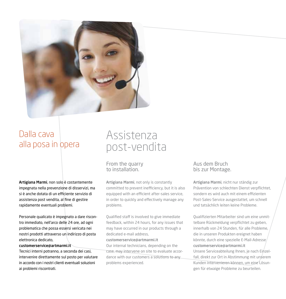

## Dalla cava alla posa in opera

Artigiana Marmi, non solo è costantemente impegnata nella prevenzione di disservizi, ma si è anche dotata di un efficiente servizio di assistenza post vendita, al fine di gestire rapidamente eventuali problemi.

Personale qualicato è impegnato a dare riscontro immediato, nell'arco delle 24 ore, ad ogni problematica che possa essersi vericata nei nostri prodotti attraverso un indirizzo di posta elettronica dedicato,

#### customerservice@artmarmi.it

Tecnici interni potranno, a seconda dei casi, intervenire direttamente sul posto per valutare in accordo con i nostri clienti eventuali soluzioni ai problemi riscontrati.

## Assistenza post-vendita

From the quarry to installation.

Artigiana Marmi, not only is constantly committed to prevent inefficiency, but it is also equipped with an efficient after-sales service, in order to quickly and effectively manage any problems.

Qualified staff is involved to give immediate feedback, within 24 hours, for any issues that may have occurred in our products through a dedicated e-mail address,

#### customerservice@artmarmi.it

Our internal technicians, depending on the case, may intervene on site to evaluate accordance with our customers a solutions to any problems experienced.

#### Aus dem Bruch bis zur Montage.

Artigiana Marmi, nicht nur ständig zur Prävention von schlechten Dienst verpflichtet, sondern es wird auch mit einem effizienten Post-Sales-Service ausgestattet, um schnell und tatsächlich leiten keine Probleme.

Qualifizierten Mitarbeiter sind um eine unmittelbare Rückmeldung verpflichtet zu geben, innerhalb von 24 Stunden, für alle Probleme, die in unseren Produkten ereignet haben könnte, durch eine spezielle E-Mail-Adresse customerservice@artmarmi.it Unsere Serviceabteilung Ihnen, je nach Einzelfall, direkt zur Ort in Abstimmung mit unserem Kunden intervenieren können, um eine Lösungen für etwaige Probleme zu beurteilen.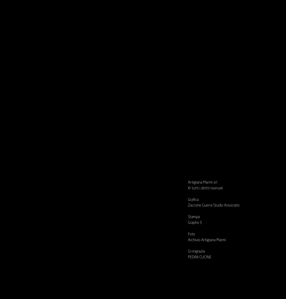Artigiana Marmi srl © tutti i diritti riservati

Grafica Zaccone Guerra Studio Associato

Stampa Grapho 5

Foto Archivio Artigiana Marmi

Si ringrazia PEDINI CUCINE